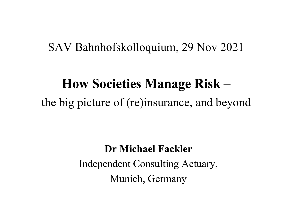#### SAV Bahnhofskolloquium, 29 Nov 2021

# **How Societies Manage Risk –** the big picture of (re)insurance, and beyond

#### **Dr Michael Fackler**

Independent Consulting Actuary, Munich, Germany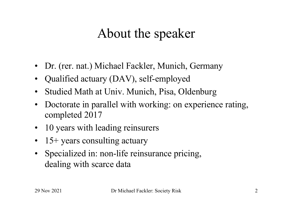## About the speaker

- Dr. (rer. nat.) Michael Fackler, Munich, Germany
- Qualified actuary (DAV), self-employed
- Studied Math at Univ. Munich, Pisa, Oldenburg
- Doctorate in parallel with working: on experience rating, completed 2017
- 10 years with leading reinsurers
- 15+ years consulting actuary
- Specialized in: non-life reinsurance pricing, dealing with scarce data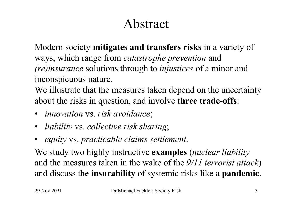## Abstract

Modern society **mitigates and transfers risks** in a variety of ways, which range from *catastrophe prevention* and *(re)insurance* solutions through to *injustices* of a minor and inconspicuous nature.

We illustrate that the measures taken depend on the uncertainty about the risks in question, and involve **three trade-offs**:

- *innovation* vs. *risk avoidance*;
- *liability* vs. *collective risk sharing*;
- *equity* vs. *practicable claims settlement*.

We study two highly instructive **examples** (*nuclear liability* and the measures taken in the wake of the *9/11 terrorist attack*) and discuss the **insurability** of systemic risks like a **pandemic**.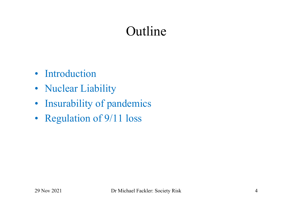### Outline

- Introduction
- Nuclear Liability
- Insurability of pandemics
- Regulation of 9/11 loss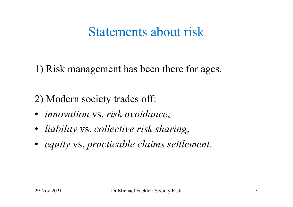#### Statements about risk

1) Risk management has been there for ages.

2) Modern society trades off:

- *innovation* vs. *risk avoidance*,
- *liability* vs. *collective risk sharing*,
- *equity* vs. *practicable claims settlement*.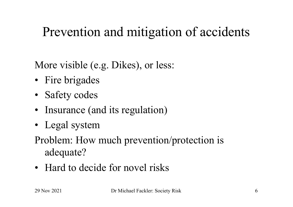### Prevention and mitigation of accidents

More visible (e.g. Dikes), or less:

- Fire brigades
- Safety codes
- Insurance (and its regulation)
- Legal system
- Problem: How much prevention/protection is adequate?
- Hard to decide for novel risks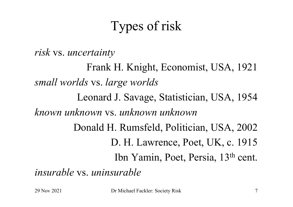# Types of risk

*risk* vs. *uncertainty*

Frank H. Knight, Economist, USA, 1921 *small worlds* vs. *large worlds* Leonard J. Savage, Statistician, USA, 1954 *known unknown* vs. *unknown unknown* Donald H. Rumsfeld, Politician, USA, 2002 D. H. Lawrence, Poet, UK, c. 1915 Ibn Yamin, Poet, Persia, 13th cent. *insurable* vs. *uninsurable*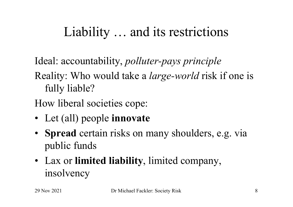### Liability … and its restrictions

Ideal: accountability, *polluter-pays principle*

Reality: Who would take a *large-world* risk if one is fully liable?

How liberal societies cope:

- Let (all) people **innovate**
- **Spread** certain risks on many shoulders, e.g. via public funds
- Lax or **limited liability**, limited company, insolvency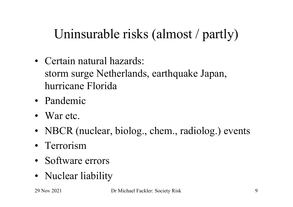# Uninsurable risks (almost / partly)

- Certain natural hazards: storm surge Netherlands, earthquake Japan, hurricane Florida
- Pandemic
- War etc.
- NBCR (nuclear, biolog., chem., radiolog.) events
- Terrorism
- Software errors
- Nuclear liability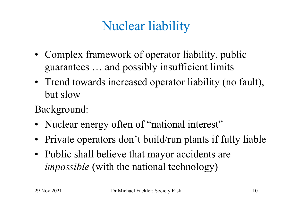# Nuclear liability

- Complex framework of operator liability, public guarantees … and possibly insufficient limits
- Trend towards increased operator liability (no fault), but slow
- Background:
- Nuclear energy often of "national interest"
- Private operators don't build/run plants if fully liable
- Public shall believe that mayor accidents are *impossible* (with the national technology)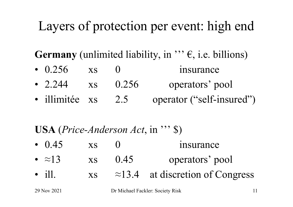## Layers of protection per event: high end

**Germany** (unlimited liability, in  $''$ ;  $\epsilon$ , i.e. billions)

- 0.256 xs 0 insurance
- 2.244 xs 0.256 operators' pool
- illimitée xs 2.5 operator ("self-insured")

#### **USA** (*Price-Anderson Act*, in ''' \$)

- $0.45$  xs  $0$  insurance
- $\approx$ 13 xs 0.45 operators' pool
- ill.  $\text{xs}$   $\approx$  13.4 at discretion of Congress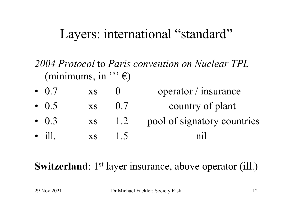#### Layers: international "standard"

*2004 Protocol* to *Paris convention on Nuclear TPL*  (minimums, in  $"\,$ ;  $\epsilon$ )

•  $0.7$  xs  $0$  operator / insurance •  $0.5$  xs  $0.7$  country of plant • 0.3 xs 1.2 pool of signatory countries • ill. xs 1.5 nil

**Switzerland**: 1<sup>st</sup> layer insurance, above operator (ill.)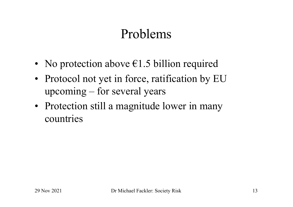### Problems

- No protection above  $\epsilon$ 1.5 billion required
- Protocol not yet in force, ratification by EU upcoming – for several years
- Protection still a magnitude lower in many countries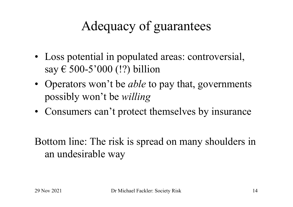# Adequacy of guarantees

- Loss potential in populated areas: controversial, say € 500-5'000 (!?) billion
- Operators won't be *able* to pay that, governments possibly won't be *willing*
- Consumers can't protect themselves by insurance

Bottom line: The risk is spread on many shoulders in an undesirable way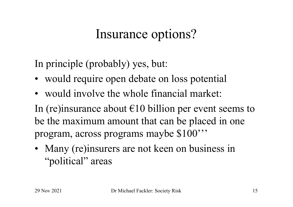### Insurance options?

In principle (probably) yes, but:

- would require open debate on loss potential
- would involve the whole financial market:

In (re)insurance about  $\epsilon$ 10 billion per event seems to be the maximum amount that can be placed in one program, across programs maybe \$100'''

• Many (re)insurers are not keen on business in "political" areas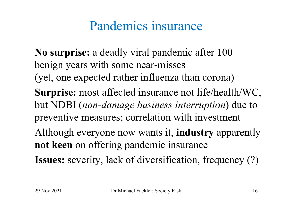### Pandemics insurance

**No surprise:** a deadly viral pandemic after 100 benign years with some near-misses (yet, one expected rather influenza than corona) **Surprise:** most affected insurance not life/health/WC, but NDBI (*non-damage business interruption*) due to preventive measures; correlation with investment Although everyone now wants it, **industry** apparently **not keen** on offering pandemic insurance **Issues:** severity, lack of diversification, frequency (?)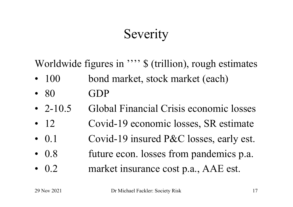# **Severity**

Worldwide figures in ""  $\frac{1}{2}$  (trillion), rough estimates

- 100 bond market, stock market (each)
- $80$  GDP
- 2-10.5 Global Financial Crisis economic losses
- 12 Covid-19 economic losses, SR estimate
- 0.1 Covid-19 insured P&C losses, early est.
- 0.8 future econ. losses from pandemics p.a.
- 0.2 market insurance cost p.a., AAE est.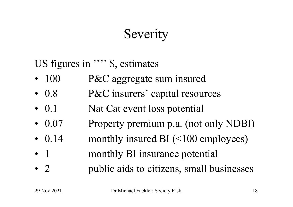## **Severity**

US figures in ""<sup>\$</sup>, estimates"

- 100 P&C aggregate sum insured
- 0.8 P&C insurers' capital resources
- 0.1 Nat Cat event loss potential
- 0.07 Property premium p.a. (not only NDBI)
- 0.14 monthly insured BI (<100 employees)
- 1 monthly BI insurance potential
- 2 public aids to citizens, small businesses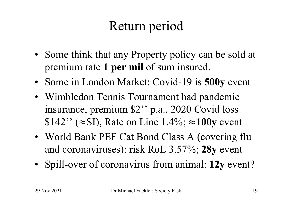# Return period

- Some think that any Property policy can be sold at premium rate **1 per mil** of sum insured.
- Some in London Market: Covid-19 is **500y** event
- Wimbledon Tennis Tournament had pandemic insurance, premium \$2'' p.a., 2020 Covid loss \$142'' (≈SI), Rate on Line 1.4%; ≈**100y** event
- World Bank PEF Cat Bond Class A (covering flu and coronaviruses): risk RoL 3.57%; **28y** event
- Spill-over of coronavirus from animal: **12y** event?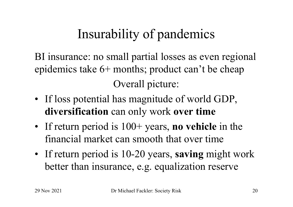# Insurability of pandemics

BI insurance: no small partial losses as even regional epidemics take 6+ months; product can't be cheap Overall picture:

- If loss potential has magnitude of world GDP, **diversification** can only work **over time**
- If return period is  $100+$  years, **no vehicle** in the financial market can smooth that over time
- If return period is 10-20 years, **saving** might work better than insurance, e.g. equalization reserve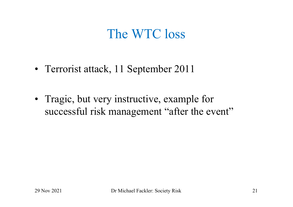### The WTC loss

- Terrorist attack, 11 September 2011
- Tragic, but very instructive, example for successful risk management "after the event"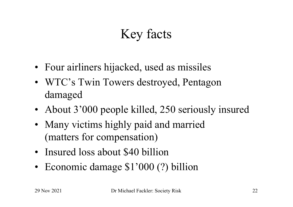# Key facts

- Four airliners hijacked, used as missiles
- WTC's Twin Towers destroyed, Pentagon damaged
- About 3'000 people killed, 250 seriously insured
- Many victims highly paid and married (matters for compensation)
- Insured loss about \$40 billion
- Economic damage \$1'000 (?) billion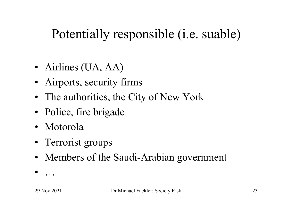## Potentially responsible (i.e. suable)

- Airlines (UA, AA)
- Airports, security firms
- The authorities, the City of New York
- Police, fire brigade
- Motorola
- Terrorist groups
- Members of the Saudi-Arabian government
- …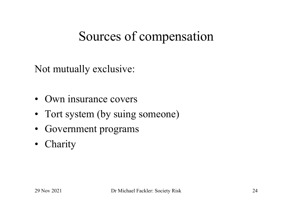### Sources of compensation

Not mutually exclusive:

- Own insurance covers
- Tort system (by suing someone)
- Government programs
- Charity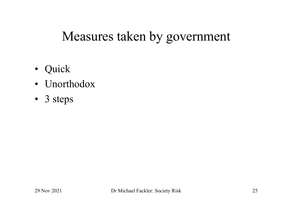### Measures taken by government

- Quick
- Unorthodox
- 3 steps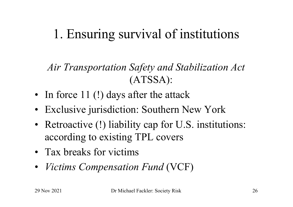# 1. Ensuring survival of institutions

*Air Transportation Safety and Stabilization Act* (ATSSA):

- In force 11 (!) days after the attack
- Exclusive jurisdiction: Southern New York
- Retroactive (!) liability cap for U.S. institutions: according to existing TPL covers
- Tax breaks for victims
- *Victims Compensation Fund* (VCF)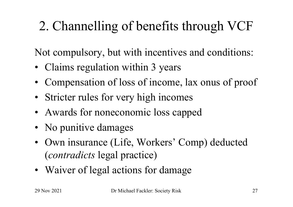# 2. Channelling of benefits through VCF

Not compulsory, but with incentives and conditions:

- Claims regulation within 3 years
- Compensation of loss of income, lax onus of proof
- Stricter rules for very high incomes
- Awards for noneconomic loss capped
- No punitive damages
- Own insurance (Life, Workers' Comp) deducted (*contradicts* legal practice)
- Waiver of legal actions for damage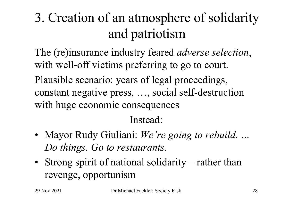# 3. Creation of an atmosphere of solidarity and patriotism

The (re)insurance industry feared *adverse selection*, with well-off victims preferring to go to court.

Plausible scenario: years of legal proceedings, constant negative press, …, social self-destruction with huge economic consequences

#### Instead:

- Mayor Rudy Giuliani: *We're going to rebuild. … Do things. Go to restaurants.*
- Strong spirit of national solidarity rather than revenge, opportunism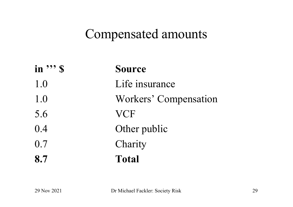#### Compensated amounts

| in $\mathbf{S}$ | <b>Source</b>         |
|-----------------|-----------------------|
| 1.0             | Life insurance        |
| 1.0             | Workers' Compensation |
| 5.6             | <b>VCF</b>            |
| 0.4             | Other public          |
| 0.7             | Charity               |
| 8.7             | <b>Total</b>          |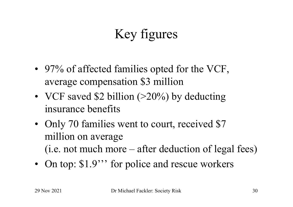# Key figures

- 97% of affected families opted for the VCF, average compensation \$3 million
- VCF saved \$2 billion  $(>20\%)$  by deducting insurance benefits
- Only 70 families went to court, received \$7 million on average (i.e. not much more – after deduction of legal fees)
- On top: \$1.9<sup>\*\*</sup> for police and rescue workers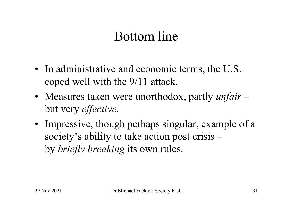#### Bottom line

- In administrative and economic terms, the U.S. coped well with the 9/11 attack.
- Measures taken were unorthodox, partly *unfair*  but very *effective*.
- Impressive, though perhaps singular, example of a society's ability to take action post crisis – by *briefly breaking* its own rules.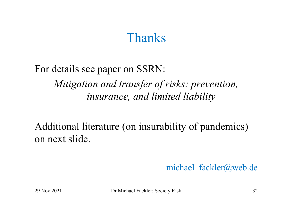#### Thanks

For details see paper on SSRN: *Mitigation and transfer of risks: prevention, insurance, and limited liability*

Additional literature (on insurability of pandemics) on next slide.

michael fackler@web.de